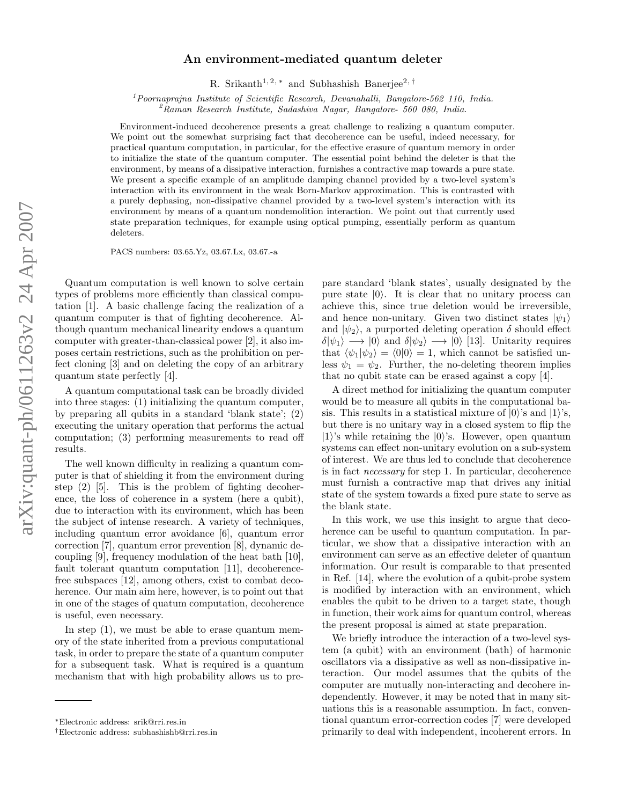## An environment-mediated quantum deleter

R. Srikanth<sup>1, 2,\*</sup> and Subhashish Banerjee<sup>2,†</sup>

<sup>1</sup> Poornaprajna Institute of Scientific Research, Devanahalli, Bangalore-562 110, India.<br><sup>2</sup>Raman Research Institute, Sadashiva Nagar, Bangalore- 560 080, India.

Environment-induced decoherence presents a great challenge to realizing a quantum computer. We point out the somewhat surprising fact that decoherence can be useful, indeed necessary, for practical quantum computation, in particular, for the effective erasure of quantum memory in order to initialize the state of the quantum computer. The essential point behind the deleter is that the environment, by means of a dissipative interaction, furnishes a contractive map towards a pure state. We present a specific example of an amplitude damping channel provided by a two-level system's interaction with its environment in the weak Born-Markov approximation. This is contrasted with a purely dephasing, non-dissipative channel provided by a two-level system's interaction with its environment by means of a quantum nondemolition interaction. We point out that currently used state preparation techniques, for example using optical pumping, essentially perform as quantum deleters.

PACS numbers: 03.65.Yz, 03.67.Lx, 03.67.-a

Quantum computation is well known to solve certain types of problems more efficiently than classical computation [1]. A basic challenge facing the realization of a quantum computer is that of fighting decoherence. Although quantum mechanical linearity endows a quantum computer with greater-than-classical power [2], it also imposes certain restrictions, such as the prohibition on perfect cloning [3] and on deleting the copy of an arbitrary quantum state perfectly [4].

A quantum computational task can be broadly divided into three stages: (1) initializing the quantum computer, by preparing all qubits in a standard 'blank state'; (2) executing the unitary operation that performs the actual computation; (3) performing measurements to read off results.

The well known difficulty in realizing a quantum computer is that of shielding it from the environment during step (2) [5]. This is the problem of fighting decoherence, the loss of coherence in a system (here a qubit), due to interaction with its environment, which has been the subject of intense research. A variety of techniques, including quantum error avoidance [6], quantum error correction [7], quantum error prevention [8], dynamic decoupling [9], frequency modulation of the heat bath [10], fault tolerant quantum computation [11], decoherencefree subspaces [12], among others, exist to combat decoherence. Our main aim here, however, is to point out that in one of the stages of quatum computation, decoherence is useful, even necessary.

In step (1), we must be able to erase quantum memory of the state inherited from a previous computational task, in order to prepare the state of a quantum computer for a subsequent task. What is required is a quantum mechanism that with high probability allows us to pre-

pare standard 'blank states', usually designated by the pure state  $|0\rangle$ . It is clear that no unitary process can achieve this, since true deletion would be irreversible, and hence non-unitary. Given two distinct states  $|\psi_1\rangle$ and  $|\psi_2\rangle$ , a purported deleting operation  $\delta$  should effect  $\delta|\psi_1\rangle \longrightarrow |0\rangle$  and  $\delta|\psi_2\rangle \longrightarrow |0\rangle$  [13]. Unitarity requires that  $\langle \psi_1 | \psi_2 \rangle = \langle 0 | 0 \rangle = 1$ , which cannot be satisfied unless  $\psi_1 = \psi_2$ . Further, the no-deleting theorem implies that no qubit state can be erased against a copy [4].

A direct method for initializing the quantum computer would be to measure all qubits in the computational basis. This results in a statistical mixture of  $|0\rangle$ 's and  $|1\rangle$ 's, but there is no unitary way in a closed system to flip the  $|1\rangle$ 's while retaining the  $|0\rangle$ 's. However, open quantum systems can effect non-unitary evolution on a sub-system of interest. We are thus led to conclude that decoherence is in fact necessary for step 1. In particular, decoherence must furnish a contractive map that drives any initial state of the system towards a fixed pure state to serve as the blank state.

In this work, we use this insight to argue that decoherence can be useful to quantum computation. In particular, we show that a dissipative interaction with an environment can serve as an effective deleter of quantum information. Our result is comparable to that presented in Ref. [14], where the evolution of a qubit-probe system is modified by interaction with an environment, which enables the qubit to be driven to a target state, though in function, their work aims for quantum control, whereas the present proposal is aimed at state preparation.

We briefly introduce the interaction of a two-level system (a qubit) with an environment (bath) of harmonic oscillators via a dissipative as well as non-dissipative interaction. Our model assumes that the qubits of the computer are mutually non-interacting and decohere independently. However, it may be noted that in many situations this is a reasonable assumption. In fact, conventional quantum error-correction codes [7] were developed primarily to deal with independent, incoherent errors. In

<sup>∗</sup>Electronic address: srik@rri.res.in

<sup>†</sup>Electronic address: subhashishb@rri.res.in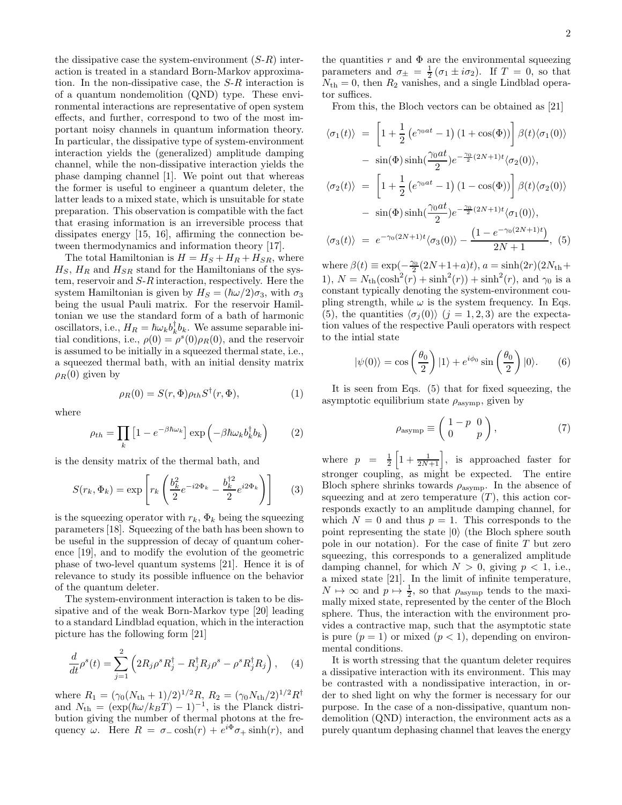the dissipative case the system-environment  $(S-R)$  interaction is treated in a standard Born-Markov approximation. In the non-dissipative case, the S-R interaction is of a quantum nondemolition (QND) type. These environmental interactions are representative of open system effects, and further, correspond to two of the most important noisy channels in quantum information theory. In particular, the dissipative type of system-environment interaction yields the (generalized) amplitude damping channel, while the non-dissipative interaction yields the phase damping channel [1]. We point out that whereas the former is useful to engineer a quantum deleter, the latter leads to a mixed state, which is unsuitable for state preparation. This observation is compatible with the fact that erasing information is an irreversible process that dissipates energy [15, 16], affirming the connection between thermodynamics and information theory [17].

The total Hamiltonian is  $H = H<sub>S</sub> + H<sub>R</sub> + H<sub>SR</sub>$ , where  $H<sub>S</sub>$ ,  $H<sub>R</sub>$  and  $H<sub>SR</sub>$  stand for the Hamiltonians of the system, reservoir and S-R interaction, respectively. Here the system Hamiltonian is given by  $H_S = (\hbar \omega/2) \sigma_3$ , with  $\sigma_3$ being the usual Pauli matrix. For the reservoir Hamiltonian we use the standard form of a bath of harmonic oscillators, i.e.,  $H_R = \hbar \omega_k b_k^{\dagger} b_k$ . We assume separable initial conditions, i.e.,  $\rho(0) = \rho^{s}(0)\rho_R(0)$ , and the reservoir is assumed to be initially in a squeezed thermal state, i.e., a squeezed thermal bath, with an initial density matrix  $\rho_R(0)$  given by

$$
\rho_R(0) = S(r, \Phi)\rho_{th}S^{\dagger}(r, \Phi), \tag{1}
$$

where

$$
\rho_{th} = \prod_{k} \left[ 1 - e^{-\beta \hbar \omega_k} \right] \exp \left( -\beta \hbar \omega_k b_k^{\dagger} b_k \right) \tag{2}
$$

is the density matrix of the thermal bath, and

$$
S(r_k, \Phi_k) = \exp\left[r_k \left(\frac{b_k^2}{2} e^{-i2\Phi_k} - \frac{b_k^{\dagger 2}}{2} e^{i2\Phi_k}\right)\right]
$$
 (3)

is the squeezing operator with  $r_k$ ,  $\Phi_k$  being the squeezing parameters [18]. Squeezing of the bath has been shown to be useful in the suppression of decay of quantum coherence [19], and to modify the evolution of the geometric phase of two-level quantum systems [21]. Hence it is of relevance to study its possible influence on the behavior of the quantum deleter.

The system-environment interaction is taken to be dissipative and of the weak Born-Markov type [20] leading to a standard Lindblad equation, which in the interaction picture has the following form [21]

$$
\frac{d}{dt}\rho^s(t) = \sum_{j=1}^2 \left( 2R_j \rho^s R_j^\dagger - R_j^\dagger R_j \rho^s - \rho^s R_j^\dagger R_j \right), \quad (4)
$$

where  $R_1 = (\gamma_0 (N_{\text{th}} + 1)/2)^{1/2} R$ ,  $R_2 = (\gamma_0 N_{\text{th}}/2)^{1/2} R^{\dagger}$ and  $N_{\text{th}} = (\exp(\hbar \omega / k_B T) - 1)^{-1}$ , is the Planck distribution giving the number of thermal photons at the frequency  $\omega$ . Here  $R = \sigma_{-} \cosh(r) + e^{i\Phi} \sigma_{+} \sinh(r)$ , and the quantities r and  $\Phi$  are the environmental squeezing parameters and  $\sigma_{\pm} = \frac{1}{2} (\sigma_1 \pm i \sigma_2)$ . If  $T = 0$ , so that  $N_{\text{th}} = 0$ , then  $R_2$  vanishes, and a single Lindblad operator suffices.

From this, the Bloch vectors can be obtained as [21]

$$
\langle \sigma_1(t) \rangle = \left[ 1 + \frac{1}{2} \left( e^{\gamma_0 at} - 1 \right) (1 + \cos(\Phi)) \right] \beta(t) \langle \sigma_1(0) \rangle
$$
  
\n
$$
- \sin(\Phi) \sinh(\frac{\gamma_0 at}{2}) e^{-\frac{\gamma_0}{2} (2N+1)t} \langle \sigma_2(0) \rangle,
$$
  
\n
$$
\langle \sigma_2(t) \rangle = \left[ 1 + \frac{1}{2} \left( e^{\gamma_0 at} - 1 \right) (1 - \cos(\Phi)) \right] \beta(t) \langle \sigma_2(0) \rangle
$$
  
\n
$$
- \sin(\Phi) \sinh(\frac{\gamma_0 at}{2}) e^{-\frac{\gamma_0}{2} (2N+1)t} \langle \sigma_1(0) \rangle,
$$
  
\n
$$
\langle \sigma_3(t) \rangle = e^{-\gamma_0 (2N+1)t} \langle \sigma_3(0) \rangle - \frac{(1 - e^{-\gamma_0 (2N+1)t})}{2N + 1}, (5)
$$

where  $\beta(t) \equiv \exp(-\frac{\gamma_0}{2}(2N+1+a)t), a = \sinh(2r)(2N_{\rm th} +$ 1),  $N = N_{\text{th}}(\cosh^2(r) + \sinh^2(r)) + \sinh^2(r)$ , and  $\gamma_0$  is a constant typically denoting the system-environment coupling strength, while  $\omega$  is the system frequency. In Eqs. (5), the quantities  $\langle \sigma_i (0) \rangle$  (j = 1, 2, 3) are the expectation values of the respective Pauli operators with respect to the intial state

$$
|\psi(0)\rangle = \cos\left(\frac{\theta_0}{2}\right)|1\rangle + e^{i\phi_0}\sin\left(\frac{\theta_0}{2}\right)|0\rangle. \tag{6}
$$

It is seen from Eqs. (5) that for fixed squeezing, the asymptotic equilibrium state  $\rho_{\text{asymp}}$ , given by

$$
\rho_{\text{asymp}} \equiv \left( \begin{array}{cc} 1-p & 0 \\ 0 & p \end{array} \right),\tag{7}
$$

where  $p = \frac{1}{2} \left[ 1 + \frac{1}{2N+1} \right]$ , is approached faster for stronger coupling, as might be expected. The entire Bloch sphere shrinks towards  $\rho_{\text{asymp}}$ . In the absence of squeezing and at zero temperature  $(T)$ , this action corresponds exactly to an amplitude damping channel, for which  $N = 0$  and thus  $p = 1$ . This corresponds to the point representing the state  $|0\rangle$  (the Bloch sphere south pole in our notation). For the case of finite  $T$  but zero squeezing, this corresponds to a generalized amplitude damping channel, for which  $N > 0$ , giving  $p < 1$ , i.e., a mixed state [21]. In the limit of infinite temperature,  $N \mapsto \infty$  and  $p \mapsto \frac{1}{2}$ , so that  $\rho_{\text{asymp}}$  tends to the maximally mixed state, represented by the center of the Bloch sphere. Thus, the interaction with the environment provides a contractive map, such that the asymptotic state is pure  $(p = 1)$  or mixed  $(p < 1)$ , depending on environmental conditions.

It is worth stressing that the quantum deleter requires a dissipative interaction with its environment. This may be contrasted with a nondissipative interaction, in order to shed light on why the former is necessary for our purpose. In the case of a non-dissipative, quantum nondemolition (QND) interaction, the environment acts as a purely quantum dephasing channel that leaves the energy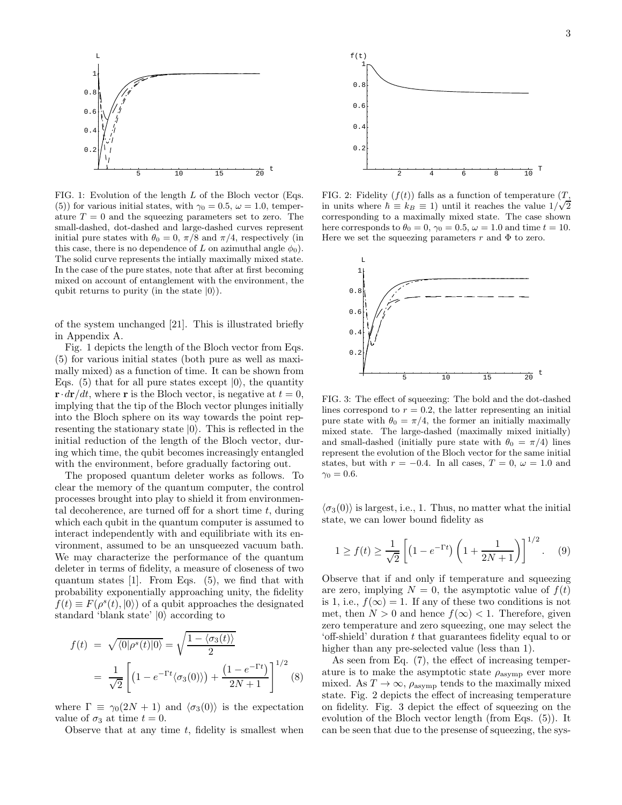

FIG. 1: Evolution of the length  $L$  of the Bloch vector (Eqs. (5)) for various initial states, with  $\gamma_0 = 0.5$ ,  $\omega = 1.0$ , temperature  $T = 0$  and the squeezing parameters set to zero. The small-dashed, dot-dashed and large-dashed curves represent initial pure states with  $\theta_0 = 0$ ,  $\pi/8$  and  $\pi/4$ , respectively (in this case, there is no dependence of L on azimuthal angle  $\phi_0$ ). The solid curve represents the intially maximally mixed state. In the case of the pure states, note that after at first becoming mixed on account of entanglement with the environment, the qubit returns to purity (in the state  $|0\rangle$ ).

of the system unchanged [21]. This is illustrated briefly in Appendix A.

Fig. 1 depicts the length of the Bloch vector from Eqs. (5) for various initial states (both pure as well as maximally mixed) as a function of time. It can be shown from Eqs. (5) that for all pure states except  $|0\rangle$ , the quantity  $\mathbf{r} \cdot d\mathbf{r}/dt$ , where r is the Bloch vector, is negative at  $t = 0$ . implying that the tip of the Bloch vector plunges initially into the Bloch sphere on its way towards the point representing the stationary state  $|0\rangle$ . This is reflected in the initial reduction of the length of the Bloch vector, during which time, the qubit becomes increasingly entangled with the environment, before gradually factoring out.

The proposed quantum deleter works as follows. To clear the memory of the quantum computer, the control processes brought into play to shield it from environmental decoherence, are turned off for a short time  $t$ , during which each qubit in the quantum computer is assumed to interact independently with and equilibriate with its environment, assumed to be an unsqueezed vacuum bath. We may characterize the performance of the quantum deleter in terms of fidelity, a measure of closeness of two quantum states [1]. From Eqs. (5), we find that with probability exponentially approaching unity, the fidelity  $f(t) \equiv F(\rho^s(t), |0\rangle)$  of a qubit approaches the designated standard 'blank state'  $|0\rangle$  according to

$$
f(t) = \sqrt{\langle 0|\rho^{s}(t)|0\rangle} = \sqrt{\frac{1-\langle \sigma_{3}(t)\rangle}{2}}
$$
  
= 
$$
\frac{1}{\sqrt{2}} \left[ (1 - e^{-\Gamma t} \langle \sigma_{3}(0)\rangle) + \frac{(1 - e^{-\Gamma t})}{2N + 1} \right]^{1/2}
$$
(8)

where  $\Gamma \equiv \gamma_0(2N + 1)$  and  $\langle \sigma_3(0) \rangle$  is the expectation value of  $\sigma_3$  at time  $t = 0$ .

Observe that at any time  $t$ , fidelity is smallest when



FIG. 2: Fidelity  $(f(t))$  falls as a function of temperature  $(T,$ in units where  $\hbar \equiv k_B \equiv 1$ ) until it reaches the value  $1/\sqrt{2}$ corresponding to a maximally mixed state. The case shown here corresponds to  $\theta_0 = 0$ ,  $\gamma_0 = 0.5$ ,  $\omega = 1.0$  and time  $t = 10$ . Here we set the squeezing parameters r and  $\Phi$  to zero.



FIG. 3: The effect of squeezing: The bold and the dot-dashed lines correspond to  $r = 0.2$ , the latter representing an initial pure state with  $\theta_0 = \pi/4$ , the former an initially maximally mixed state. The large-dashed (maximally mixed initially) and small-dashed (initially pure state with  $\theta_0 = \pi/4$ ) lines represent the evolution of the Bloch vector for the same initial states, but with  $r = -0.4$ . In all cases,  $T = 0$ ,  $\omega = 1.0$  and  $\gamma_0 = 0.6$ .

 $\langle \sigma_3(0) \rangle$  is largest, i.e., 1. Thus, no matter what the initial state, we can lower bound fidelity as

$$
1 \ge f(t) \ge \frac{1}{\sqrt{2}} \left[ \left( 1 - e^{-\Gamma t} \right) \left( 1 + \frac{1}{2N + 1} \right) \right]^{1/2} . \tag{9}
$$

Observe that if and only if temperature and squeezing are zero, implying  $N = 0$ , the asymptotic value of  $f(t)$ is 1, i.e.,  $f(\infty) = 1$ . If any of these two conditions is not met, then  $N > 0$  and hence  $f(\infty) < 1$ . Therefore, given zero temperature and zero squeezing, one may select the 'off-shield' duration t that guarantees fidelity equal to or higher than any pre-selected value (less than 1).

As seen from Eq. (7), the effect of increasing temperature is to make the asymptotic state  $\rho_{\text{asymp}}$  ever more mixed. As  $T \to \infty$ ,  $\rho_{\text{asymp}}$  tends to the maximally mixed state. Fig. 2 depicts the effect of increasing temperature on fidelity. Fig. 3 depict the effect of squeezing on the evolution of the Bloch vector length (from Eqs. (5)). It can be seen that due to the presense of squeezing, the sys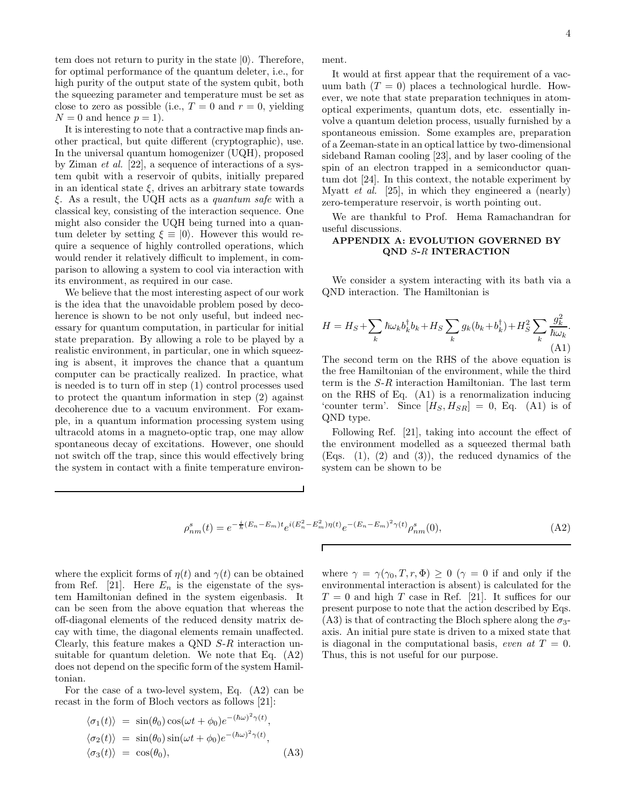tem does not return to purity in the state  $|0\rangle$ . Therefore, for optimal performance of the quantum deleter, i.e., for high purity of the output state of the system qubit, both the squeezing parameter and temperature must be set as close to zero as possible (i.e.,  $T = 0$  and  $r = 0$ , yielding  $N = 0$  and hence  $p = 1$ .

It is interesting to note that a contractive map finds another practical, but quite different (cryptographic), use. In the universal quantum homogenizer (UQH), proposed by Ziman et al. [22], a sequence of interactions of a system qubit with a reservoir of qubits, initially prepared in an identical state  $\xi$ , drives an arbitrary state towards ξ. As a result, the UQH acts as a quantum safe with a classical key, consisting of the interaction sequence. One might also consider the UQH being turned into a quantum deleter by setting  $\xi \equiv |0\rangle$ . However this would require a sequence of highly controlled operations, which would render it relatively difficult to implement, in comparison to allowing a system to cool via interaction with its environment, as required in our case.

We believe that the most interesting aspect of our work is the idea that the unavoidable problem posed by decoherence is shown to be not only useful, but indeed necessary for quantum computation, in particular for initial state preparation. By allowing a role to be played by a realistic environment, in particular, one in which squeezing is absent, it improves the chance that a quantum computer can be practically realized. In practice, what is needed is to turn off in step (1) control processes used to protect the quantum information in step (2) against decoherence due to a vacuum environment. For example, in a quantum information processing system using ultracold atoms in a magneto-optic trap, one may allow spontaneous decay of excitations. However, one should not switch off the trap, since this would effectively bring the system in contact with a finite temperature environment.

It would at first appear that the requirement of a vacuum bath  $(T = 0)$  places a technological hurdle. However, we note that state preparation techniques in atomoptical experiments, quantum dots, etc. essentially involve a quantum deletion process, usually furnished by a spontaneous emission. Some examples are, preparation of a Zeeman-state in an optical lattice by two-dimensional sideband Raman cooling [23], and by laser cooling of the spin of an electron trapped in a semiconductor quantum dot [24]. In this context, the notable experiment by Myatt et al. [25], in which they engineered a (nearly) zero-temperature reservoir, is worth pointing out.

We are thankful to Prof. Hema Ramachandran for useful discussions.

## APPENDIX A: EVOLUTION GOVERNED BY QND S-R INTERACTION

We consider a system interacting with its bath via a QND interaction. The Hamiltonian is

$$
H = H_S + \sum_k \hbar \omega_k b_k^{\dagger} b_k + H_S \sum_k g_k (b_k + b_k^{\dagger}) + H_S^2 \sum_k \frac{g_k^2}{\hbar \omega_k}.
$$
\n(A1)

The second term on the RHS of the above equation is the free Hamiltonian of the environment, while the third term is the S-R interaction Hamiltonian. The last term on the RHS of Eq. (A1) is a renormalization inducing 'counter term'. Since  $[H_S, H_{SR}] = 0$ , Eq. (A1) is of QND type.

Following Ref. [21], taking into account the effect of the environment modelled as a squeezed thermal bath  $(Eqs. (1), (2) and (3)$ , the reduced dynamics of the system can be shown to be

$$
\rho_{nm}^s(t) = e^{-\frac{i}{\hbar}(E_n - E_m)t} e^{i(E_n^2 - E_m^2)\eta(t)} e^{-(E_n - E_m)^2 \gamma(t)} \rho_{nm}^s(0),\tag{A2}
$$

where the explicit forms of  $\eta(t)$  and  $\gamma(t)$  can be obtained from Ref. [21]. Here  $E_n$  is the eigenstate of the system Hamiltonian defined in the system eigenbasis. It can be seen from the above equation that whereas the off-diagonal elements of the reduced density matrix decay with time, the diagonal elements remain unaffected. Clearly, this feature makes a QND S-R interaction unsuitable for quantum deletion. We note that Eq. (A2) does not depend on the specific form of the system Hamiltonian.

For the case of a two-level system, Eq. (A2) can be recast in the form of Bloch vectors as follows [21]:

$$
\langle \sigma_1(t) \rangle = \sin(\theta_0) \cos(\omega t + \phi_0) e^{-(\hbar \omega)^2 \gamma(t)},
$$
  
\n
$$
\langle \sigma_2(t) \rangle = \sin(\theta_0) \sin(\omega t + \phi_0) e^{-(\hbar \omega)^2 \gamma(t)},
$$
  
\n
$$
\langle \sigma_3(t) \rangle = \cos(\theta_0),
$$
\n(A3)

where  $\gamma = \gamma(\gamma_0, T, r, \Phi) \geq 0$  ( $\gamma = 0$  if and only if the environmental interaction is absent) is calculated for the  $T = 0$  and high T case in Ref. [21]. It suffices for our present purpose to note that the action described by Eqs. (A3) is that of contracting the Bloch sphere along the  $\sigma_3$ axis. An initial pure state is driven to a mixed state that is diagonal in the computational basis, even at  $T = 0$ . Thus, this is not useful for our purpose.